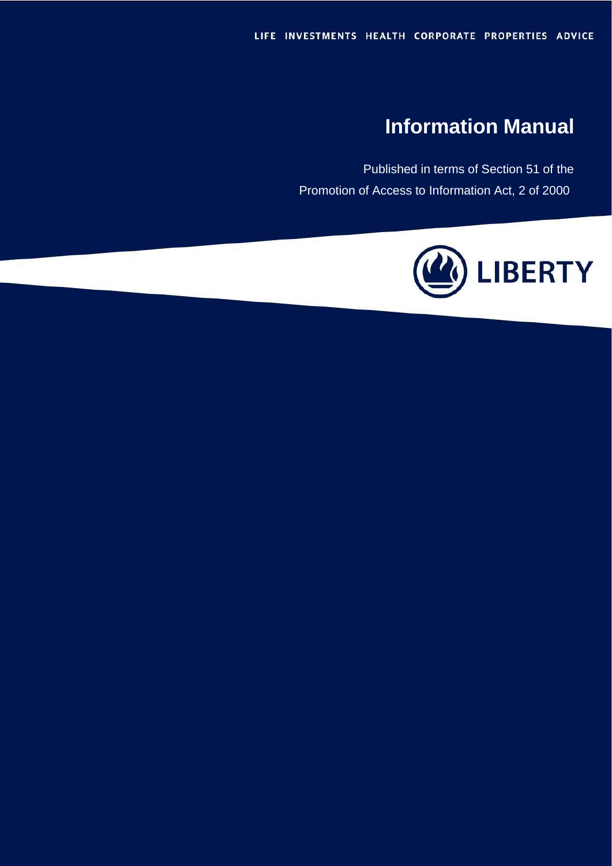# **Information Manual**

Published in terms of Section 51 of the Promotion of Access to Information Act, 2 of 2000

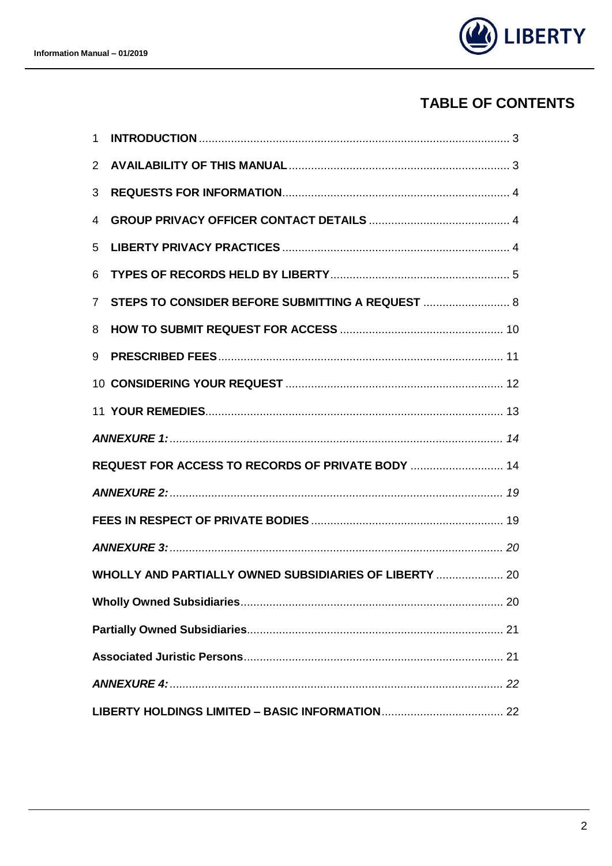

## **TABLE OF CONTENTS**

| $\mathbf{1}$                                           |                                                   |  |  |  |
|--------------------------------------------------------|---------------------------------------------------|--|--|--|
| $\overline{2}$                                         |                                                   |  |  |  |
| 3                                                      |                                                   |  |  |  |
| 4                                                      |                                                   |  |  |  |
| 5                                                      |                                                   |  |  |  |
| 6                                                      |                                                   |  |  |  |
| $\overline{7}$                                         | STEPS TO CONSIDER BEFORE SUBMITTING A REQUEST  8  |  |  |  |
| 8                                                      |                                                   |  |  |  |
| 9                                                      |                                                   |  |  |  |
|                                                        |                                                   |  |  |  |
|                                                        |                                                   |  |  |  |
|                                                        |                                                   |  |  |  |
|                                                        | REQUEST FOR ACCESS TO RECORDS OF PRIVATE BODY  14 |  |  |  |
|                                                        |                                                   |  |  |  |
|                                                        |                                                   |  |  |  |
|                                                        |                                                   |  |  |  |
| WHOLLY AND PARTIALLY OWNED SUBSIDIARIES OF LIBERTY  20 |                                                   |  |  |  |
|                                                        |                                                   |  |  |  |
|                                                        |                                                   |  |  |  |
|                                                        |                                                   |  |  |  |
|                                                        |                                                   |  |  |  |
|                                                        |                                                   |  |  |  |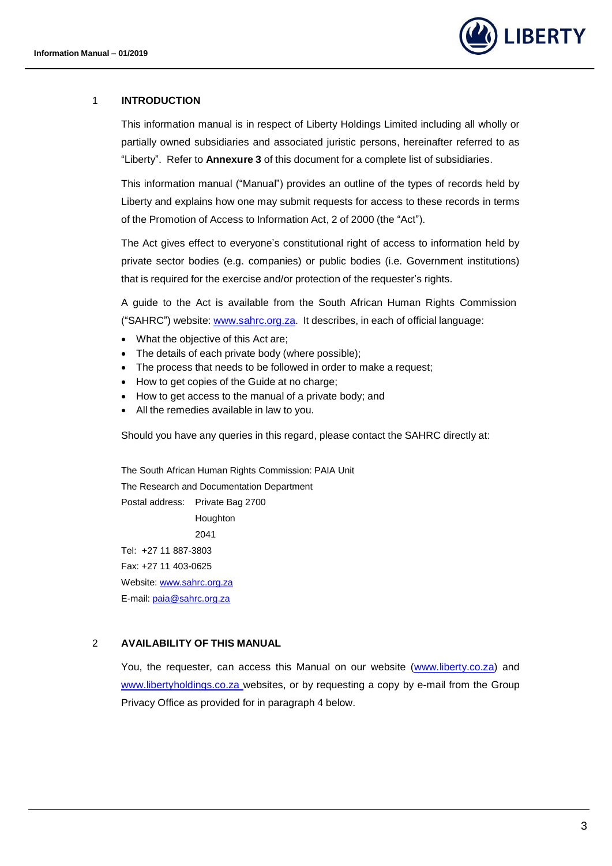

#### <span id="page-2-0"></span>1 **INTRODUCTION**

This information manual is in respect of Liberty Holdings Limited including all wholly or partially owned subsidiaries and associated juristic persons, hereinafter referred to as "Liberty". Refer to **Annexure 3** of this document for a complete list of subsidiaries.

This information manual ("Manual") provides an outline of the types of records held by Liberty and explains how one may submit requests for access to these records in terms of the Promotion of Access to Information Act, 2 of 2000 (the "Act").

The Act gives effect to everyone's constitutional right of access to information held by private sector bodies (e.g. companies) or public bodies (i.e. Government institutions) that is required for the exercise and/or protection of the requester's rights.

A guide to the Act is available from the South African Human Rights Commission ("SAHRC") website: [www.sahrc.org.za.](http://www.sahrc.org.za/) It describes, in each of official language:

- What the objective of this Act are;
- The details of each private body (where possible);
- The process that needs to be followed in order to make a request;
- How to get copies of the Guide at no charge;
- How to get access to the manual of a private body; and
- All the remedies available in law to you.

Should you have any queries in this regard, please contact the SAHRC directly at:

The South African Human Rights Commission: PAIA Unit The Research and Documentation Department Postal address: Private Bag 2700 Houghton 2041 Tel: +27 11 887-3803 Fax: +27 11 403-0625 Website: [www.sahrc.org.za](http://www.sahrc.org.za/) E-mail: [paia@sahrc.org.za](mailto:paia@sahrc.org.za)

<span id="page-2-1"></span>2 **AVAILABILITY OF THIS MANUAL**

You, the requester, can access this Manual on our website [\(www.liberty.co.za\)](http://www.liberty.co.za/) and www.libertyholdings.co.za websites, or by requesting a copy by e-mail from the Group Privacy Office as provided for in paragraph 4 below.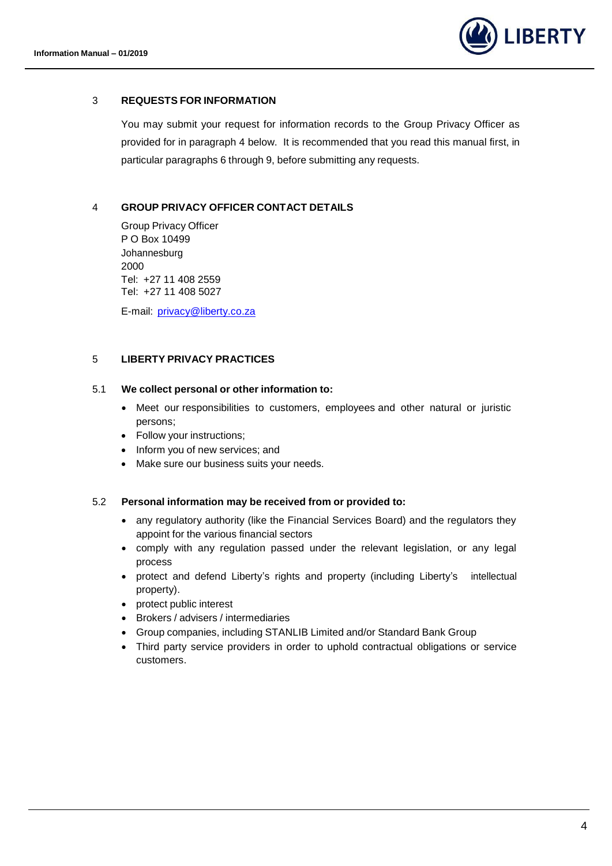

#### <span id="page-3-0"></span>3 **REQUESTS FOR INFORMATION**

You may submit your request for information records to the Group Privacy Officer as provided for in paragraph 4 below. It is recommended that you read this manual first, in particular paragraphs 6 through 9, before submitting any requests.

#### <span id="page-3-1"></span>4 **GROUP PRIVACY OFFICER CONTACT DETAILS**

Group Privacy Officer P O Box 10499 Johannesburg 2000 Tel: +27 11 408 2559 Tel: +27 11 408 5027

E-mail: [privacy@liberty.co.za](mailto:privacy@liberty.co.za)

#### <span id="page-3-2"></span>5 **LIBERTY PRIVACY PRACTICES**

#### 5.1 **We collect personal or other information to:**

- Meet our responsibilities to customers, employees and other natural or juristic persons;
- Follow your instructions;
- Inform you of new services; and
- Make sure our business suits your needs.

#### 5.2 **Personal information may be received from or provided to:**

- any regulatory authority (like the Financial Services Board) and the regulators they appoint for the various financial sectors
- comply with any regulation passed under the relevant legislation, or any legal process
- protect and defend Liberty's rights and property (including Liberty's intellectual property).
- protect public interest
- Brokers / advisers / intermediaries
- Group companies, including STANLIB Limited and/or Standard Bank Group
- Third party service providers in order to uphold contractual obligations or service customers.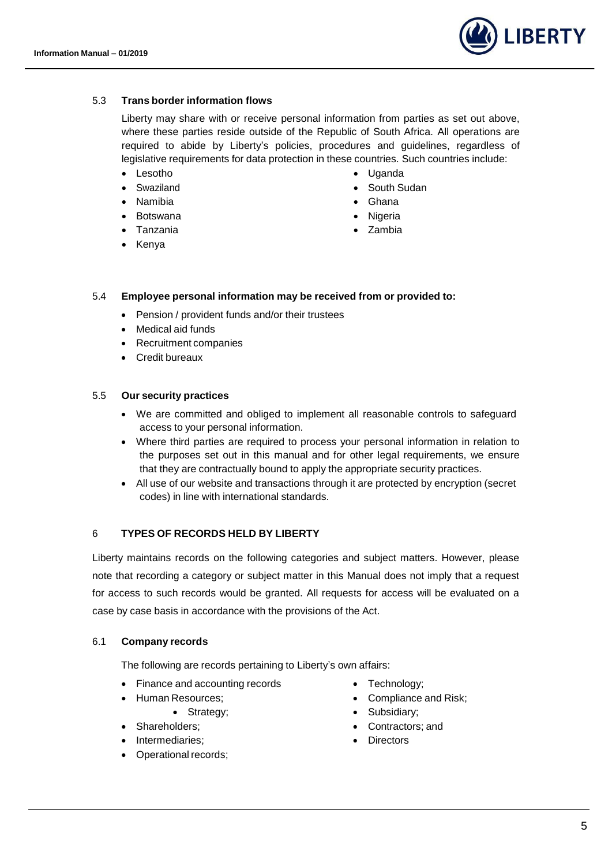

#### 5.3 **Trans border information flows**

Liberty may share with or receive personal information from parties as set out above, where these parties reside outside of the Republic of South Africa. All operations are required to abide by Liberty's policies, procedures and guidelines, regardless of legislative requirements for data protection in these countries. Such countries include:

- Lesotho
- Swaziland
- Namibia
- Botswana
- Tanzania
- Kenya
- Uganda
- South Sudan
- Ghana
- Nigeria
- Zambia

#### 5.4 **Employee personal information may be received from or provided to:**

- Pension / provident funds and/or their trustees
- Medical aid funds
- Recruitment companies
- Credit bureaux

#### 5.5 **Our security practices**

- We are committed and obliged to implement all reasonable controls to safeguard access to your personal information.
- Where third parties are required to process your personal information in relation to the purposes set out in this manual and for other legal requirements, we ensure that they are contractually bound to apply the appropriate security practices.
- All use of our website and transactions through it are protected by encryption (secret codes) in line with international standards.

#### <span id="page-4-0"></span>6 **TYPES OF RECORDS HELD BY LIBERTY**

Liberty maintains records on the following categories and subject matters. However, please note that recording a category or subject matter in this Manual does not imply that a request for access to such records would be granted. All requests for access will be evaluated on a case by case basis in accordance with the provisions of the Act.

#### 6.1 **Company records**

The following are records pertaining to Liberty's own affairs:

- Finance and accounting records
- Human Resources;
	- Strategy;
- Shareholders;
- Intermediaries;
- Operational records;
- Technology;
- Compliance and Risk;
- Subsidiary;
- Contractors; and
- Directors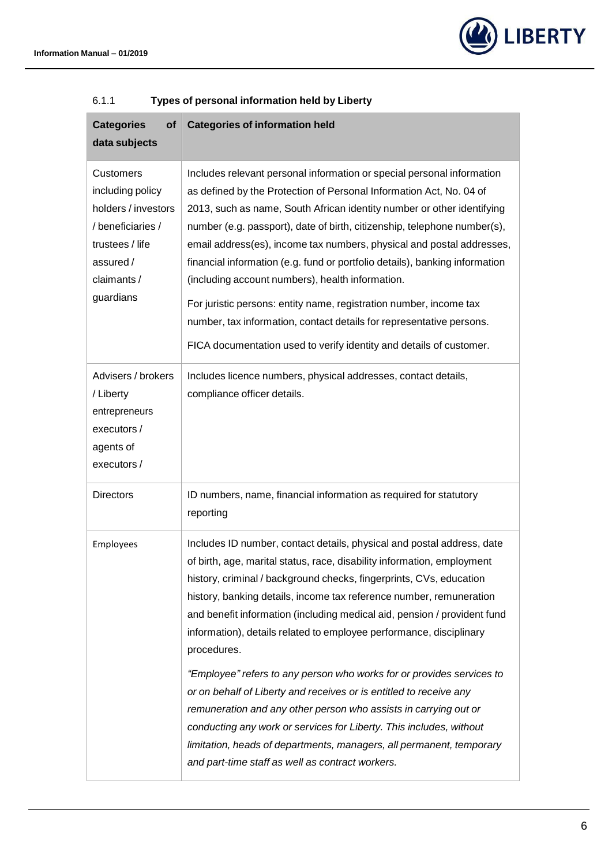

| <b>Categories of information held</b>                                                                                                                                                                                                                                                                                                                                                                                                                                                                                                                                                                                                                                                                                                                                                                                               |  |  |  |  |
|-------------------------------------------------------------------------------------------------------------------------------------------------------------------------------------------------------------------------------------------------------------------------------------------------------------------------------------------------------------------------------------------------------------------------------------------------------------------------------------------------------------------------------------------------------------------------------------------------------------------------------------------------------------------------------------------------------------------------------------------------------------------------------------------------------------------------------------|--|--|--|--|
| Includes relevant personal information or special personal information<br>as defined by the Protection of Personal Information Act, No. 04 of<br>2013, such as name, South African identity number or other identifying<br>number (e.g. passport), date of birth, citizenship, telephone number(s),<br>email address(es), income tax numbers, physical and postal addresses,<br>financial information (e.g. fund or portfolio details), banking information<br>(including account numbers), health information.<br>For juristic persons: entity name, registration number, income tax<br>number, tax information, contact details for representative persons.<br>FICA documentation used to verify identity and details of customer.                                                                                                |  |  |  |  |
| Includes licence numbers, physical addresses, contact details,<br>compliance officer details.                                                                                                                                                                                                                                                                                                                                                                                                                                                                                                                                                                                                                                                                                                                                       |  |  |  |  |
| ID numbers, name, financial information as required for statutory<br>reporting                                                                                                                                                                                                                                                                                                                                                                                                                                                                                                                                                                                                                                                                                                                                                      |  |  |  |  |
| Includes ID number, contact details, physical and postal address, date<br>of birth, age, marital status, race, disability information, employment<br>history, criminal / background checks, fingerprints, CVs, education<br>history, banking details, income tax reference number, remuneration<br>and benefit information (including medical aid, pension / provident fund<br>information), details related to employee performance, disciplinary<br>procedures.<br>"Employee" refers to any person who works for or provides services to<br>or on behalf of Liberty and receives or is entitled to receive any<br>remuneration and any other person who assists in carrying out or<br>conducting any work or services for Liberty. This includes, without<br>limitation, heads of departments, managers, all permanent, temporary |  |  |  |  |
|                                                                                                                                                                                                                                                                                                                                                                                                                                                                                                                                                                                                                                                                                                                                                                                                                                     |  |  |  |  |

## 6.1.1 **Types of personal information held by Liberty**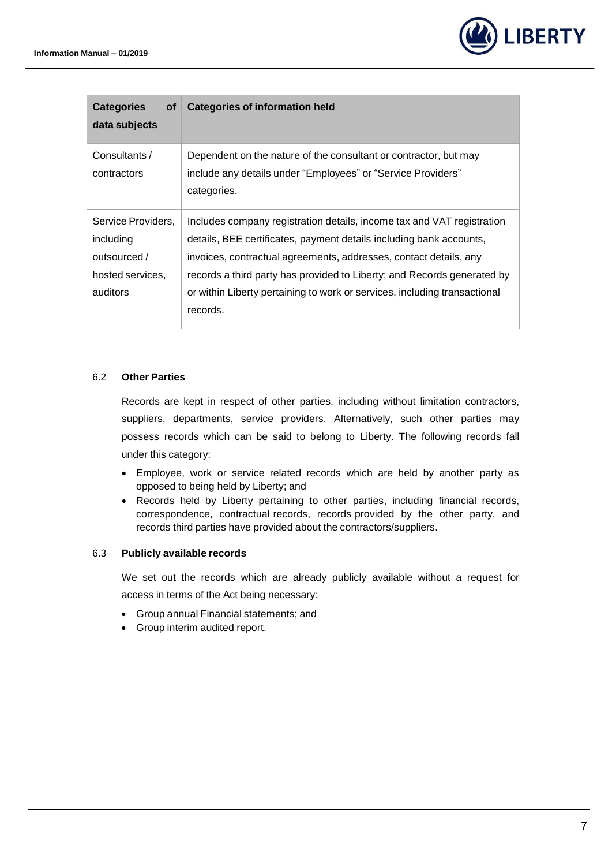

| <b>Categories</b><br>οf<br>data subjects                                        | <b>Categories of information held</b>                                                                                                                                                                                                                                                                                                                                                  |
|---------------------------------------------------------------------------------|----------------------------------------------------------------------------------------------------------------------------------------------------------------------------------------------------------------------------------------------------------------------------------------------------------------------------------------------------------------------------------------|
| Consultants /<br>contractors                                                    | Dependent on the nature of the consultant or contractor, but may<br>include any details under "Employees" or "Service Providers"<br>categories.                                                                                                                                                                                                                                        |
| Service Providers,<br>including<br>outsourced /<br>hosted services,<br>auditors | Includes company registration details, income tax and VAT registration<br>details, BEE certificates, payment details including bank accounts,<br>invoices, contractual agreements, addresses, contact details, any<br>records a third party has provided to Liberty; and Records generated by<br>or within Liberty pertaining to work or services, including transactional<br>records. |

## 6.2 **Other Parties**

Records are kept in respect of other parties, including without limitation contractors, suppliers, departments, service providers. Alternatively, such other parties may possess records which can be said to belong to Liberty. The following records fall under this category:

- Employee, work or service related records which are held by another party as opposed to being held by Liberty; and
- Records held by Liberty pertaining to other parties, including financial records, correspondence, contractual records, records provided by the other party, and records third parties have provided about the contractors/suppliers.

#### 6.3 **Publicly available records**

We set out the records which are already publicly available without a request for access in terms of the Act being necessary:

- Group annual Financial statements; and
- Group interim audited report.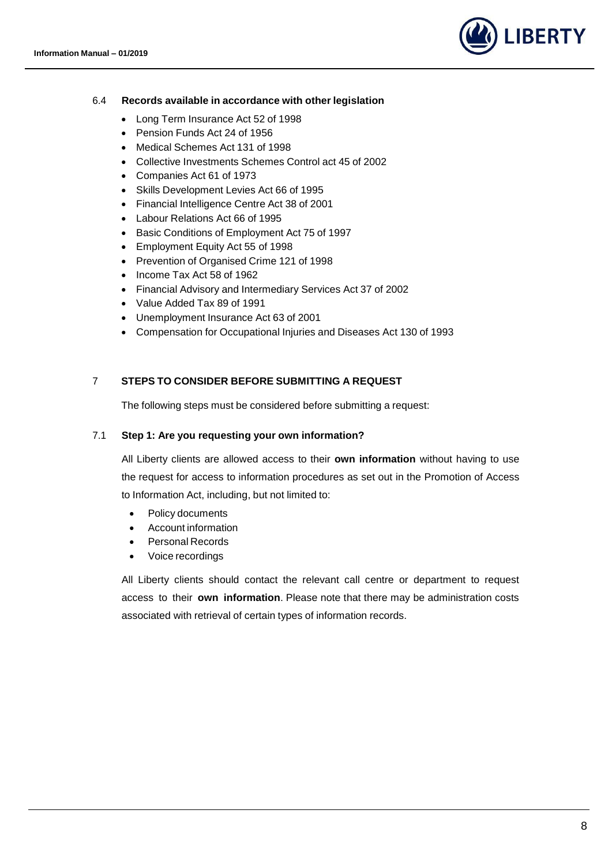

#### 6.4 **Records available in accordance with other legislation**

- Long Term Insurance Act 52 of 1998
- Pension Funds Act 24 of 1956
- Medical Schemes Act 131 of 1998
- Collective Investments Schemes Control act 45 of 2002
- Companies Act 61 of 1973
- Skills Development Levies Act 66 of 1995
- Financial Intelligence Centre Act 38 of 2001
- Labour Relations Act 66 of 1995
- Basic Conditions of Employment Act 75 of 1997
- Employment Equity Act 55 of 1998
- Prevention of Organised Crime 121 of 1998
- Income Tax Act 58 of 1962
- Financial Advisory and Intermediary Services Act 37 of 2002
- Value Added Tax 89 of 1991
- Unemployment Insurance Act 63 of 2001
- Compensation for Occupational Injuries and Diseases Act 130 of 1993

#### <span id="page-7-0"></span>7 **STEPS TO CONSIDER BEFORE SUBMITTING A REQUEST**

The following steps must be considered before submitting a request:

#### 7.1 **Step 1: Are you requesting your own information?**

All Liberty clients are allowed access to their **own information** without having to use the request for access to information procedures as set out in the Promotion of Access to Information Act, including, but not limited to:

- Policy documents
- Account information
- Personal Records
- Voice recordings

All Liberty clients should contact the relevant call centre or department to request access to their **own information**. Please note that there may be administration costs associated with retrieval of certain types of information records.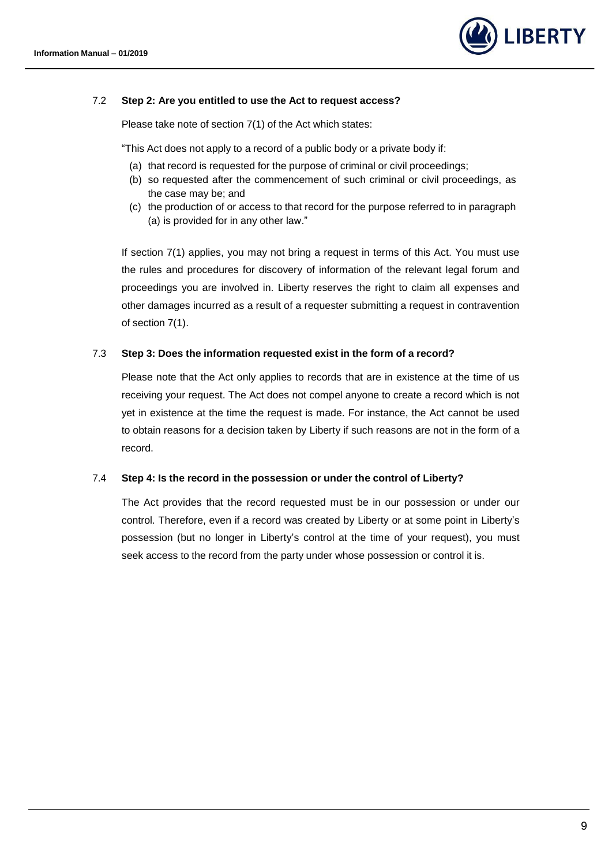

#### 7.2 **Step 2: Are you entitled to use the Act to request access?**

Please take note of section 7(1) of the Act which states:

"This Act does not apply to a record of a public body or a private body if:

- (a) that record is requested for the purpose of criminal or civil proceedings;
- (b) so requested after the commencement of such criminal or civil proceedings, as the case may be; and
- (c) the production of or access to that record for the purpose referred to in paragraph (a) is provided for in any other law."

If section 7(1) applies, you may not bring a request in terms of this Act. You must use the rules and procedures for discovery of information of the relevant legal forum and proceedings you are involved in. Liberty reserves the right to claim all expenses and other damages incurred as a result of a requester submitting a request in contravention of section 7(1).

#### 7.3 **Step 3: Does the information requested exist in the form of a record?**

Please note that the Act only applies to records that are in existence at the time of us receiving your request. The Act does not compel anyone to create a record which is not yet in existence at the time the request is made. For instance, the Act cannot be used to obtain reasons for a decision taken by Liberty if such reasons are not in the form of a record.

#### 7.4 **Step 4: Is the record in the possession or under the control of Liberty?**

The Act provides that the record requested must be in our possession or under our control. Therefore, even if a record was created by Liberty or at some point in Liberty's possession (but no longer in Liberty's control at the time of your request), you must seek access to the record from the party under whose possession or control it is.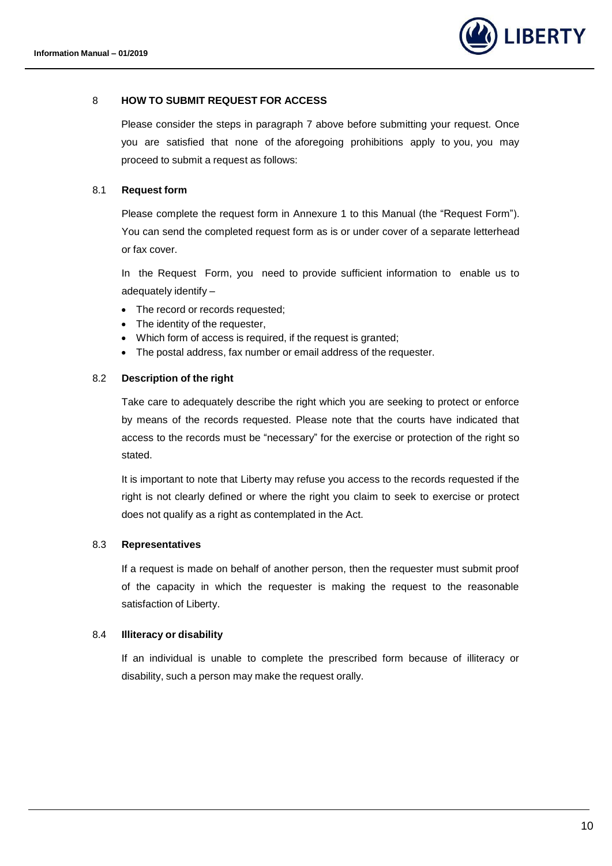

#### <span id="page-9-0"></span>8 **HOW TO SUBMIT REQUEST FOR ACCESS**

Please consider the steps in paragraph [7](#page-7-0) above before submitting your request. Once you are satisfied that none of the aforegoing prohibitions apply to you, you may proceed to submit a request as follows:

#### 8.1 **Request form**

Please complete the request form in Annexure 1 to this Manual (the "Request Form"). You can send the completed request form as is or under cover of a separate letterhead or fax cover.

In the Request Form, you need to provide sufficient information to enable us to adequately identify –

- The record or records requested;
- The identity of the requester,
- Which form of access is required, if the request is granted;
- The postal address, fax number or email address of the requester.

#### 8.2 **Description of the right**

Take care to adequately describe the right which you are seeking to protect or enforce by means of the records requested. Please note that the courts have indicated that access to the records must be "necessary" for the exercise or protection of the right so stated.

It is important to note that Liberty may refuse you access to the records requested if the right is not clearly defined or where the right you claim to seek to exercise or protect does not qualify as a right as contemplated in the Act.

#### 8.3 **Representatives**

If a request is made on behalf of another person, then the requester must submit proof of the capacity in which the requester is making the request to the reasonable satisfaction of Liberty.

#### 8.4 **Illiteracy or disability**

If an individual is unable to complete the prescribed form because of illiteracy or disability, such a person may make the request orally.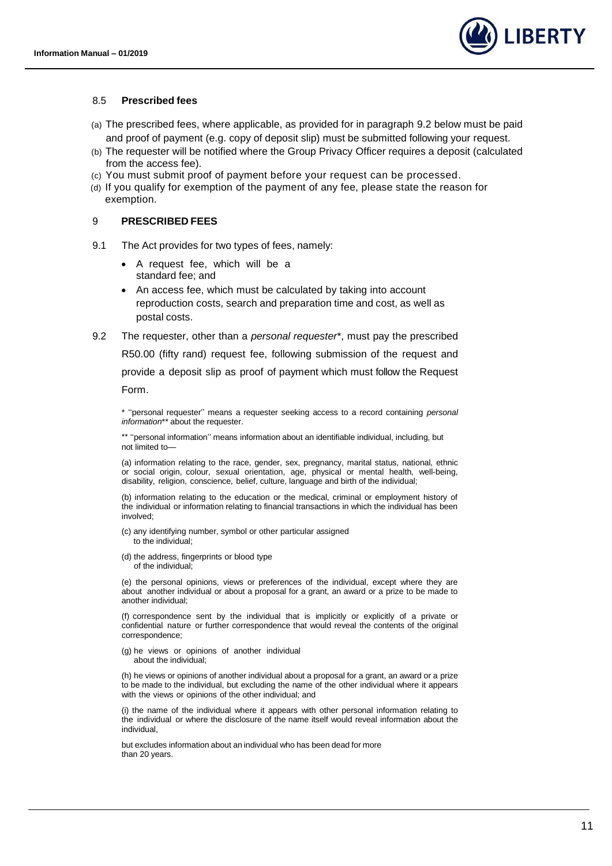

#### 8.5 **Prescribed fees**

- (a) The prescribed fees, where applicable, as provided for in paragraph [9.2](#page-10-1) below must be paid and proof of payment (e.g. copy of deposit slip) must be submitted following your request.
- (b) The requester will be notified where the Group Privacy Officer requires a deposit (calculated from the access fee).
- (c) You must submit proof of payment before your request can be processed.
- (d) If you qualify for exemption of the payment of any fee, please state the reason for exemption.

#### <span id="page-10-0"></span>9 **PRESCRIBED FEES**

- 9.1 The Act provides for two types of fees, namely:
	- A request fee, which will be a standard fee; and
	- An access fee, which must be calculated by taking into account reproduction costs, search and preparation time and cost, as well as postal costs.
- <span id="page-10-1"></span>9.2 The requester, other than a *personal requester*\*, must pay the prescribed R50.00 (fifty rand) request fee, following submission of the request and provide a deposit slip as proof of payment which must follow the Request Form.

\* ''personal requester'' means a requester seeking access to a record containing *personal information*\*\* about the requester.

\*\* "personal information" means information about an identifiable individual, including, but not limited to—

(a) information relating to the race, gender, sex, pregnancy, marital status, national, ethnic or social origin, colour, sexual orientation, age, physical or mental health, well-being, disability, religion, conscience, belief, culture, language and birth of the individual;

(b) information relating to the education or the medical, criminal or employment history of the individual or information relating to financial transactions in which the individual has been involved;

- (c) any identifying number, symbol or other particular assigned to the individual;
- (d) the address, fingerprints or blood type of the individual;

(e) the personal opinions, views or preferences of the individual, except where they are about another individual or about a proposal for a grant, an award or a prize to be made to another individual;

(f) correspondence sent by the individual that is implicitly or explicitly of a private or confidential nature or further correspondence that would reveal the contents of the original correspondence;

(g) he views or opinions of another individual about the individual;

(h) he views or opinions of another individual about a proposal for a grant, an award or a prize to be made to the individual, but excluding the name of the other individual where it appears with the views or opinions of the other individual; and

(i) the name of the individual where it appears with other personal information relating to the individual or where the disclosure of the name itself would reveal information about the individual,

but excludes information about an individual who has been dead for more than 20 years.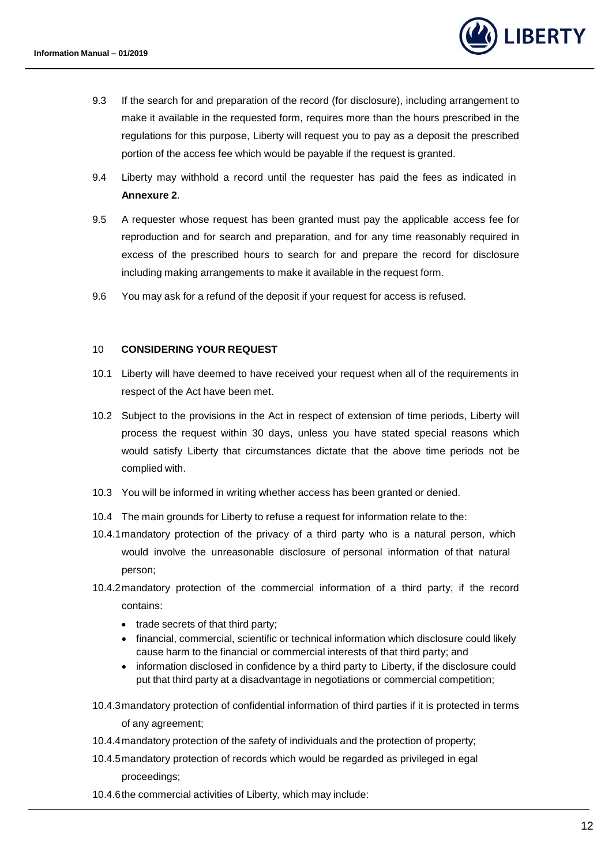

- 9.3 If the search for and preparation of the record (for disclosure), including arrangement to make it available in the requested form, requires more than the hours prescribed in the regulations for this purpose, Liberty will request you to pay as a deposit the prescribed portion of the access fee which would be payable if the request is granted.
- 9.4 Liberty may withhold a record until the requester has paid the fees as indicated in **Annexure 2**.
- 9.5 A requester whose request has been granted must pay the applicable access fee for reproduction and for search and preparation, and for any time reasonably required in excess of the prescribed hours to search for and prepare the record for disclosure including making arrangements to make it available in the request form.
- 9.6 You may ask for a refund of the deposit if your request for access is refused.

#### <span id="page-11-0"></span>10 **CONSIDERING YOUR REQUEST**

- 10.1 Liberty will have deemed to have received your request when all of the requirements in respect of the Act have been met.
- 10.2 Subject to the provisions in the Act in respect of extension of time periods, Liberty will process the request within 30 days, unless you have stated special reasons which would satisfy Liberty that circumstances dictate that the above time periods not be complied with.
- 10.3 You will be informed in writing whether access has been granted or denied.
- 10.4 The main grounds for Liberty to refuse a request for information relate to the:
- 10.4.1mandatory protection of the privacy of a third party who is a natural person, which would involve the unreasonable disclosure of personal information of that natural person;
- 10.4.2mandatory protection of the commercial information of a third party, if the record contains:
	- trade secrets of that third party;
	- financial, commercial, scientific or technical information which disclosure could likely cause harm to the financial or commercial interests of that third party; and
	- information disclosed in confidence by a third party to Liberty, if the disclosure could put that third party at a disadvantage in negotiations or commercial competition;
- 10.4.3mandatory protection of confidential information of third parties if it is protected in terms of any agreement;
- 10.4.4mandatory protection of the safety of individuals and the protection of property;
- 10.4.5mandatory protection of records which would be regarded as privileged in egal proceedings;
- 10.4.6the commercial activities of Liberty, which may include: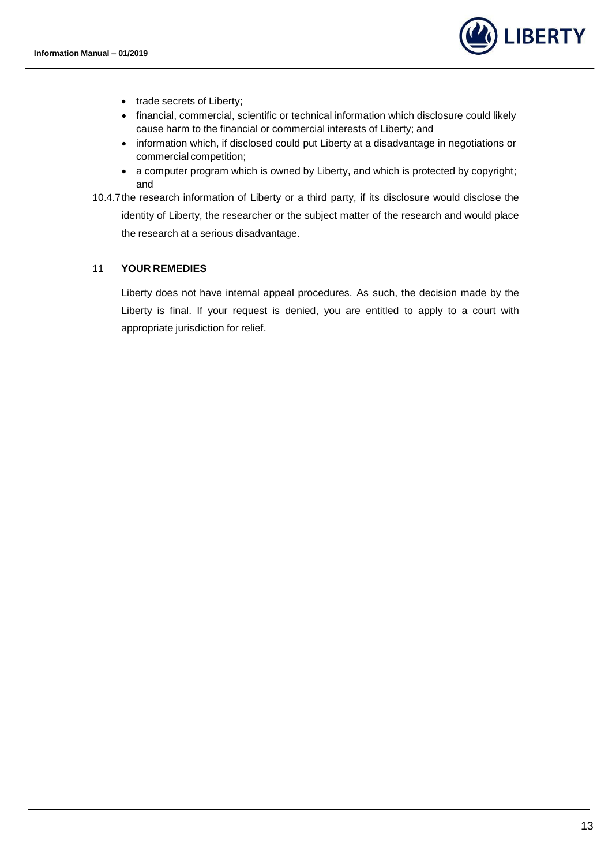

- trade secrets of Liberty;
- financial, commercial, scientific or technical information which disclosure could likely cause harm to the financial or commercial interests of Liberty; and
- information which, if disclosed could put Liberty at a disadvantage in negotiations or commercial competition;
- a computer program which is owned by Liberty, and which is protected by copyright; and
- 10.4.7the research information of Liberty or a third party, if its disclosure would disclose the identity of Liberty, the researcher or the subject matter of the research and would place the research at a serious disadvantage.

#### <span id="page-12-0"></span>11 **YOUR REMEDIES**

Liberty does not have internal appeal procedures. As such, the decision made by the Liberty is final. If your request is denied, you are entitled to apply to a court with appropriate jurisdiction for relief.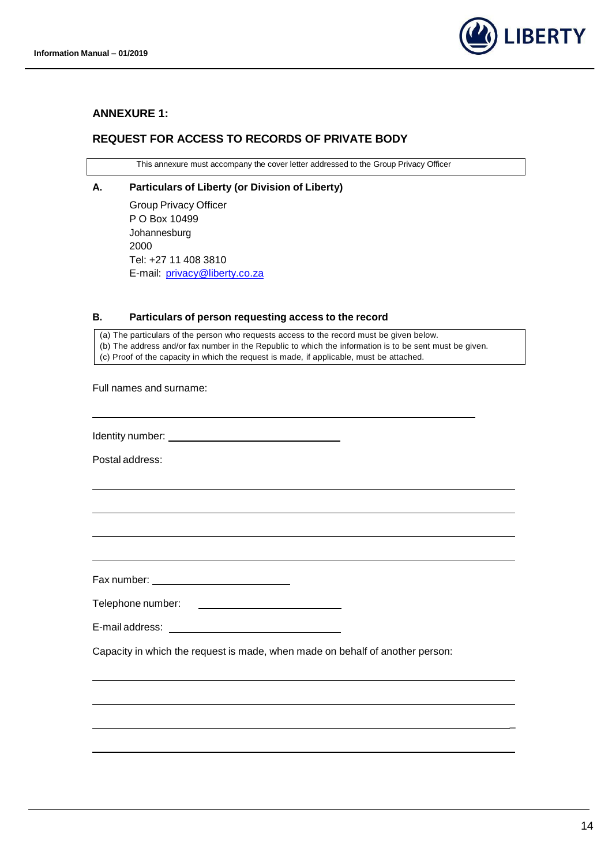

#### <span id="page-13-0"></span>**ANNEXURE 1:**

## <span id="page-13-1"></span>**REQUEST FOR ACCESS TO RECORDS OF PRIVATE BODY**

This annexure must accompany the cover letter addressed to the Group Privacy Officer

#### **A. Particulars of Liberty (or Division of Liberty)**

Group Privacy Officer P O Box 10499 Johannesburg 2000 Tel: +27 11 408 3810 E-mail: [privacy@liberty.co.za](mailto:privacy@liberty.co.za)

#### **B. Particulars of person requesting access to the record**

(a) The particulars of the person who requests access to the record must be given below. (b) The address and/or fax number in the Republic to which the information is to be sent must be given. (c) Proof of the capacity in which the request is made, if applicable, must be attached.

Full names and surname:

Identity number:

Postal address:

Fax number:

Telephone number: 

E-mail address:

Capacity in which the request is made, when made on behalf of another person:

\_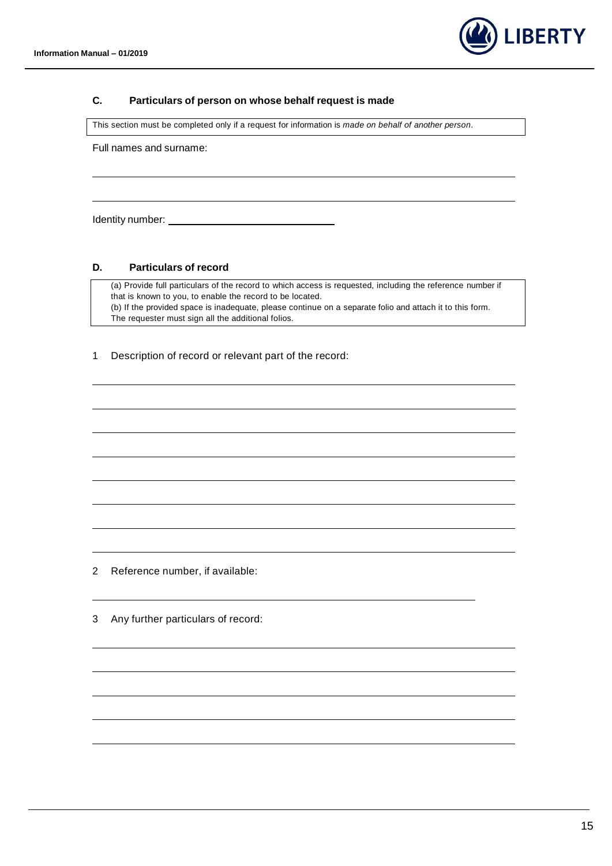

#### **C. Particulars of person on whose behalf request is made**

This section must be completed only if a request for information is *made on behalf of another person*.

Full names and surname:

Identity number: The contract of the contract of the contract of the contract of the contract of the contract of the contract of the contract of the contract of the contract of the contract of the contract of the contract

#### **D. Particulars of record**

(a) Provide full particulars of the record to which access is requested, including the reference number if that is known to you, to enable the record to be located. (b) If the provided space is inadequate, please continue on a separate folio and attach it to this form. The requester must sign all the additional folios.

1 Description of record or relevant part of the record:

2 Reference number, if available:

3 Any further particulars of record: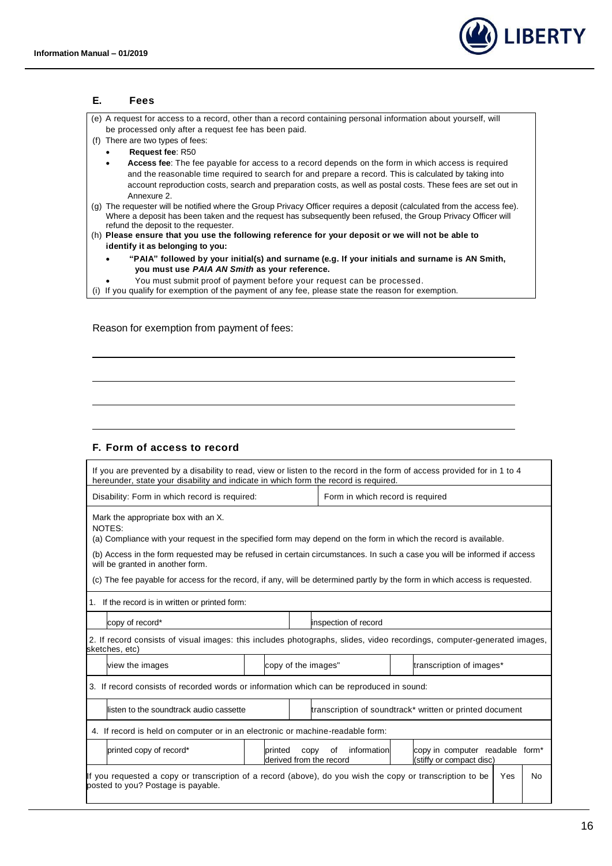

| Е.  | Fees                                                                                                                                                                                                                                                                                                                                                    |
|-----|---------------------------------------------------------------------------------------------------------------------------------------------------------------------------------------------------------------------------------------------------------------------------------------------------------------------------------------------------------|
|     | (e) A request for access to a record, other than a record containing personal information about yourself, will                                                                                                                                                                                                                                          |
|     | be processed only after a request fee has been paid.                                                                                                                                                                                                                                                                                                    |
| (f) | There are two types of fees:                                                                                                                                                                                                                                                                                                                            |
|     | <b>Request fee: R50</b><br>$\bullet$                                                                                                                                                                                                                                                                                                                    |
|     | <b>Access fee:</b> The fee payable for access to a record depends on the form in which access is required<br>٠<br>and the reasonable time required to search for and prepare a record. This is calculated by taking into<br>account reproduction costs, search and preparation costs, as well as postal costs. These fees are set out in<br>Annexure 2. |
| (q) | The requester will be notified where the Group Privacy Officer requires a deposit (calculated from the access fee).<br>Where a deposit has been taken and the request has subsequently been refused, the Group Privacy Officer will<br>refund the deposit to the requester.                                                                             |
|     | (h) Please ensure that you use the following reference for your deposit or we will not be able to                                                                                                                                                                                                                                                       |
|     | identify it as belonging to you:                                                                                                                                                                                                                                                                                                                        |
|     | "PAIA" followed by your initial(s) and surname (e.g. If your initials and surname is AN Smith,<br>$\bullet$                                                                                                                                                                                                                                             |
|     | you must use PAIA AN Smith as your reference.                                                                                                                                                                                                                                                                                                           |
|     | You must submit proof of payment before your request can be processed.                                                                                                                                                                                                                                                                                  |
|     | (i) If you qualify for exemption of the payment of any fee, please state the reason for exemption.                                                                                                                                                                                                                                                      |
|     |                                                                                                                                                                                                                                                                                                                                                         |

## Reason for exemption from payment of fees:

## **F. Form of access to record**

| If you are prevented by a disability to read, view or listen to the record in the form of access provided for in 1 to 4<br>hereunder, state your disability and indicate in which form the record is required. |                                                                                                                            |                                  |                                              |                                                                         |  |  |
|----------------------------------------------------------------------------------------------------------------------------------------------------------------------------------------------------------------|----------------------------------------------------------------------------------------------------------------------------|----------------------------------|----------------------------------------------|-------------------------------------------------------------------------|--|--|
| Disability: Form in which record is required:                                                                                                                                                                  |                                                                                                                            | Form in which record is required |                                              |                                                                         |  |  |
| Mark the appropriate box with an X.<br>NOTES:<br>(a) Compliance with your request in the specified form may depend on the form in which the record is available.                                               |                                                                                                                            |                                  |                                              |                                                                         |  |  |
| (b) Access in the form requested may be refused in certain circumstances. In such a case you will be informed if access<br>will be granted in another form.                                                    |                                                                                                                            |                                  |                                              |                                                                         |  |  |
|                                                                                                                                                                                                                | (c) The fee payable for access for the record, if any, will be determined partly by the form in which access is requested. |                                  |                                              |                                                                         |  |  |
| 1. If the record is in written or printed form:                                                                                                                                                                |                                                                                                                            |                                  |                                              |                                                                         |  |  |
| copy of record*                                                                                                                                                                                                |                                                                                                                            |                                  |                                              | inspection of record                                                    |  |  |
| 2. If record consists of visual images: this includes photographs, slides, video recordings, computer-generated images,<br>sketches, etc)                                                                      |                                                                                                                            |                                  |                                              |                                                                         |  |  |
| view the images                                                                                                                                                                                                | copy of the images"                                                                                                        |                                  |                                              | transcription of images*                                                |  |  |
| 3. If record consists of recorded words or information which can be reproduced in sound:                                                                                                                       |                                                                                                                            |                                  |                                              |                                                                         |  |  |
| listen to the soundtrack audio cassette                                                                                                                                                                        |                                                                                                                            |                                  |                                              | transcription of soundtrack* written or printed document                |  |  |
| 4. If record is held on computer or in an electronic or machine-readable form:                                                                                                                                 |                                                                                                                            |                                  |                                              |                                                                         |  |  |
| printed copy of record*                                                                                                                                                                                        | printed                                                                                                                    | copy                             | information<br>0f<br>derived from the record | copy in computer readable form <sup>*</sup><br>(stiffy or compact disc) |  |  |
| If you requested a copy or transcription of a record (above), do you wish the copy or transcription to be<br>Yes<br><b>No</b><br>posted to you? Postage is payable.                                            |                                                                                                                            |                                  |                                              |                                                                         |  |  |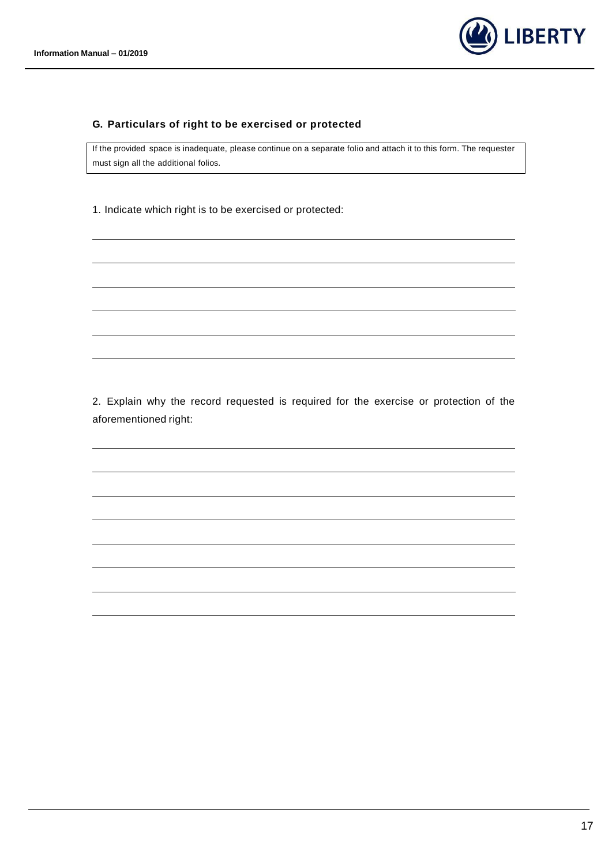

#### **G. Particulars of right to be exercised or protected**

If the provided space is inadequate, please continue on a separate folio and attach it to this form. The requester must sign all the additional folios.

1. Indicate which right is to be exercised or protected:

2. Explain why the record requested is required for the exercise or protection of the aforementioned right: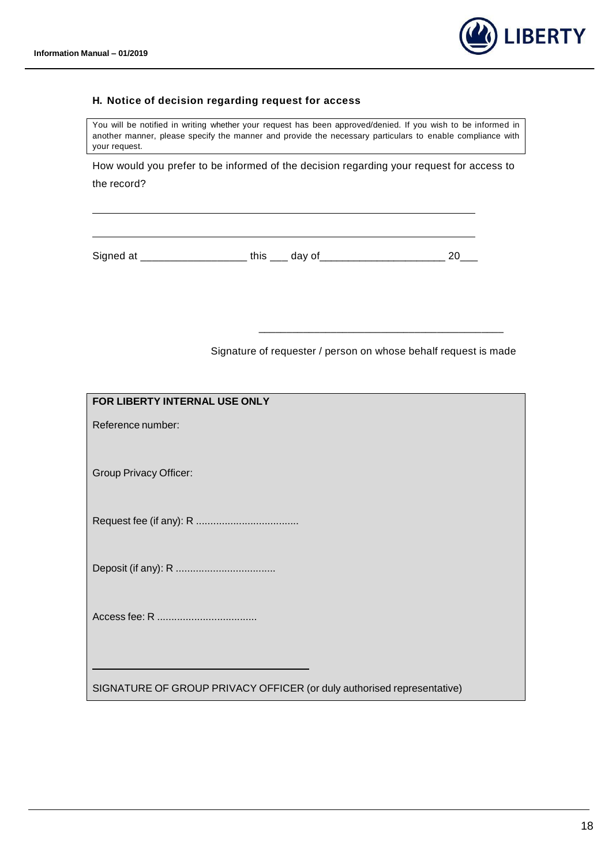

#### **H. Notice of decision regarding request for access**

You will be notified in writing whether your request has been approved/denied. If you wish to be informed in another manner, please specify the manner and provide the necessary particulars to enable compliance with your request.

How would you prefer to be informed of the decision regarding your request for access to the record?

Signed at \_\_\_\_\_\_\_\_\_\_\_\_\_\_\_\_\_\_\_\_\_\_\_ this \_\_\_\_ day of\_\_\_\_\_\_\_\_\_\_\_\_\_\_\_\_\_\_\_\_\_\_\_\_\_\_\_\_\_\_ 20\_\_\_

Signature of requester / person on whose behalf request is made

\_\_\_\_\_\_\_\_\_\_\_\_\_\_\_\_\_\_\_\_\_\_\_\_\_\_\_\_\_\_\_\_\_\_\_\_\_\_\_\_\_\_\_\_

| FOR LIBERTY INTERNAL USE ONLY                                          |
|------------------------------------------------------------------------|
| Reference number:                                                      |
| <b>Group Privacy Officer:</b>                                          |
|                                                                        |
|                                                                        |
|                                                                        |
|                                                                        |
| SIGNATURE OF GROUP PRIVACY OFFICER (or duly authorised representative) |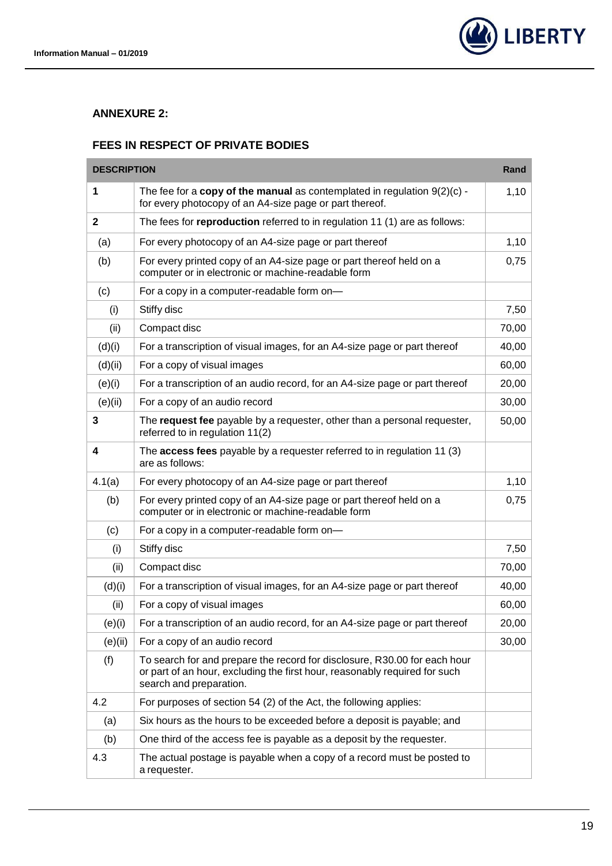<span id="page-18-1"></span>m



۰

#### <span id="page-18-0"></span>**ANNEXURE 2:**

## **FEES IN RESPECT OF PRIVATE BODIES**

| <b>DESCRIPTION</b> |                                                                                                                                                                                    | Rand  |
|--------------------|------------------------------------------------------------------------------------------------------------------------------------------------------------------------------------|-------|
| 1                  | The fee for a copy of the manual as contemplated in regulation $9(2)(c)$ -<br>for every photocopy of an A4-size page or part thereof.                                              | 1,10  |
| $\mathbf{2}$       | The fees for reproduction referred to in regulation 11 (1) are as follows:                                                                                                         |       |
| (a)                | For every photocopy of an A4-size page or part thereof                                                                                                                             | 1,10  |
| (b)                | For every printed copy of an A4-size page or part thereof held on a<br>computer or in electronic or machine-readable form                                                          | 0,75  |
| (c)                | For a copy in a computer-readable form on-                                                                                                                                         |       |
| (i)                | Stiffy disc                                                                                                                                                                        | 7,50  |
| (ii)               | Compact disc                                                                                                                                                                       | 70,00 |
| (d)(i)             | For a transcription of visual images, for an A4-size page or part thereof                                                                                                          | 40,00 |
| (d)(ii)            | For a copy of visual images                                                                                                                                                        | 60,00 |
| (e)(i)             | For a transcription of an audio record, for an A4-size page or part thereof                                                                                                        | 20,00 |
| (e)(ii)            | For a copy of an audio record                                                                                                                                                      | 30,00 |
| 3                  | The request fee payable by a requester, other than a personal requester,<br>referred to in regulation 11(2)                                                                        | 50,00 |
| 4                  | The access fees payable by a requester referred to in regulation 11 (3)<br>are as follows:                                                                                         |       |
| 4.1(a)             | For every photocopy of an A4-size page or part thereof                                                                                                                             | 1,10  |
| (b)                | For every printed copy of an A4-size page or part thereof held on a<br>computer or in electronic or machine-readable form                                                          | 0,75  |
| (c)                | For a copy in a computer-readable form on-                                                                                                                                         |       |
| (i)                | Stiffy disc                                                                                                                                                                        | 7,50  |
| (ii)               | Compact disc                                                                                                                                                                       | 70,00 |
| (d)(i)             | For a transcription of visual images, for an A4-size page or part thereof                                                                                                          | 40,00 |
| (ii)               | For a copy of visual images                                                                                                                                                        | 60,00 |
| (e)(i)             | For a transcription of an audio record, for an A4-size page or part thereof                                                                                                        | 20,00 |
| (e)(ii)            | For a copy of an audio record                                                                                                                                                      | 30,00 |
| (f)                | To search for and prepare the record for disclosure, R30.00 for each hour<br>or part of an hour, excluding the first hour, reasonably required for such<br>search and preparation. |       |
| 4.2                | For purposes of section 54 (2) of the Act, the following applies:                                                                                                                  |       |
| (a)                | Six hours as the hours to be exceeded before a deposit is payable; and                                                                                                             |       |
| (b)                | One third of the access fee is payable as a deposit by the requester.                                                                                                              |       |
| 4.3                | The actual postage is payable when a copy of a record must be posted to<br>a requester.                                                                                            |       |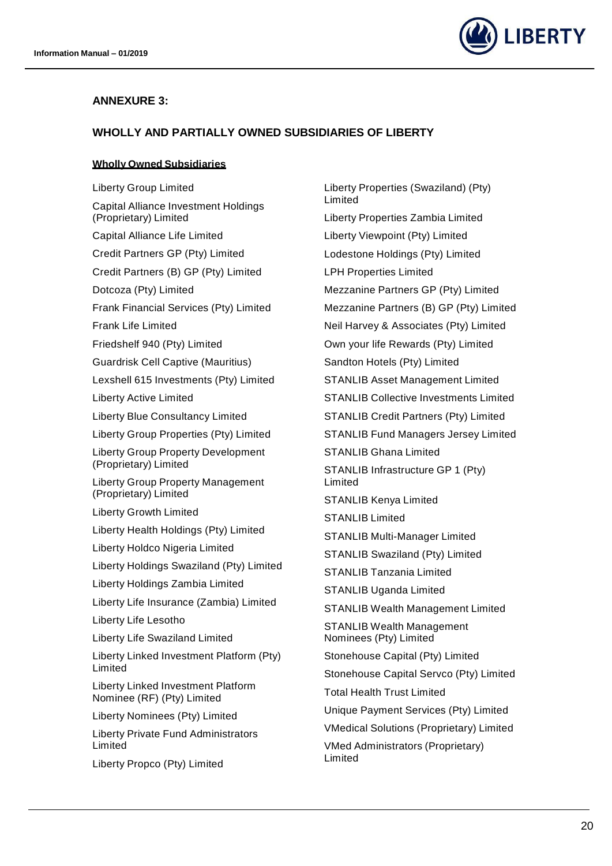

## <span id="page-19-0"></span>**ANNEXURE 3:**

### <span id="page-19-1"></span>**WHOLLY AND PARTIALLY OWNED SUBSIDIARIES OF LIBERTY**

#### <span id="page-19-2"></span>**Wholly Owned Subsidiaries**

Liberty Group Limited Capital Alliance Investment Holdings (Proprietary) Limited Capital Alliance Life Limited Credit Partners GP (Pty) Limited Credit Partners (B) GP (Pty) Limited Dotcoza (Pty) Limited Frank Financial Services (Pty) Limited Frank Life Limited Friedshelf 940 (Pty) Limited Guardrisk Cell Captive (Mauritius) Lexshell 615 Investments (Pty) Limited Liberty Active Limited Liberty Blue Consultancy Limited Liberty Group Properties (Pty) Limited Liberty Group Property Development (Proprietary) Limited Liberty Group Property Management (Proprietary) Limited Liberty Growth Limited Liberty Health Holdings (Pty) Limited Liberty Holdco Nigeria Limited Liberty Holdings Swaziland (Pty) Limited Liberty Holdings Zambia Limited Liberty Life Insurance (Zambia) Limited Liberty Life Lesotho Liberty Life Swaziland Limited Liberty Linked Investment Platform (Pty) Limited Liberty Linked Investment Platform Nominee (RF) (Pty) Limited Liberty Nominees (Pty) Limited Liberty Private Fund Administrators Limited Liberty Propco (Pty) Limited

Liberty Properties (Swaziland) (Pty) Limited Liberty Properties Zambia Limited Liberty Viewpoint (Pty) Limited Lodestone Holdings (Pty) Limited LPH Properties Limited Mezzanine Partners GP (Pty) Limited Mezzanine Partners (B) GP (Pty) Limited Neil Harvey & Associates (Pty) Limited Own your life Rewards (Pty) Limited Sandton Hotels (Pty) Limited STANLIB Asset Management Limited STANLIB Collective Investments Limited STANLIB Credit Partners (Pty) Limited STANLIB Fund Managers Jersey Limited STANLIB Ghana Limited STANLIB Infrastructure GP 1 (Pty) Limited STANLIB Kenya Limited STANLIB Limited STANLIB Multi-Manager Limited STANLIB Swaziland (Pty) Limited STANLIB Tanzania Limited STANLIB Uganda Limited STANLIB Wealth Management Limited STANLIB Wealth Management Nominees (Pty) Limited Stonehouse Capital (Pty) Limited Stonehouse Capital Servco (Pty) Limited Total Health Trust Limited Unique Payment Services (Pty) Limited VMedical Solutions (Proprietary) Limited VMed Administrators (Proprietary) Limited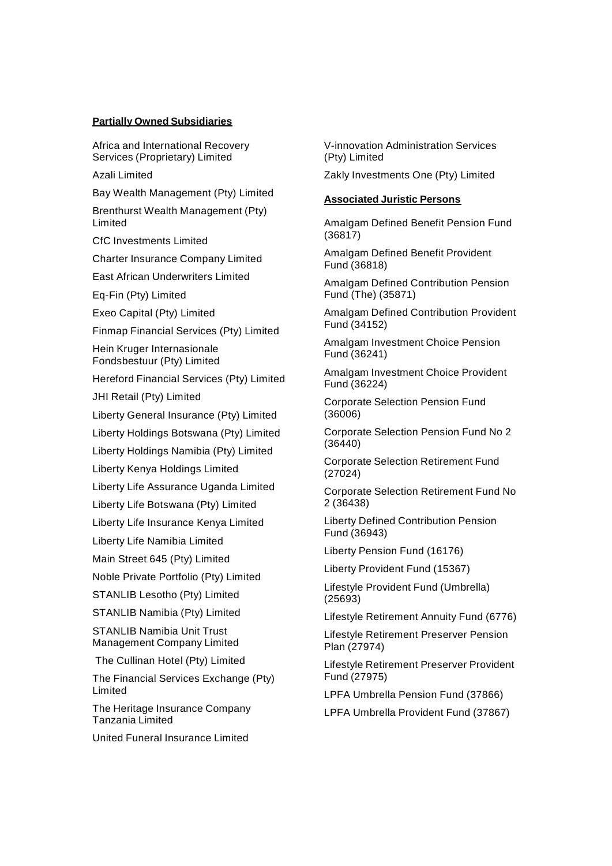#### <span id="page-20-0"></span>**Partially Owned Subsidiaries**

Africa and International Recovery Services (Proprietary) Limited

Azali Limited

Bay Wealth Management (Pty) Limited

Brenthurst Wealth Management (Pty) Limited

CfC Investments Limited

Charter Insurance Company Limited

East African Underwriters Limited

Eq-Fin (Pty) Limited

Exeo Capital (Pty) Limited

Finmap Financial Services (Pty) Limited

Hein Kruger Internasionale Fondsbestuur (Pty) Limited

Hereford Financial Services (Pty) Limited

JHI Retail (Pty) Limited

Liberty General Insurance (Pty) Limited

Liberty Holdings Botswana (Pty) Limited

Liberty Holdings Namibia (Pty) Limited

Liberty Kenya Holdings Limited

Liberty Life Assurance Uganda Limited

Liberty Life Botswana (Pty) Limited

Liberty Life Insurance Kenya Limited

Liberty Life Namibia Limited

Main Street 645 (Pty) Limited

Noble Private Portfolio (Pty) Limited

STANLIB Lesotho (Pty) Limited

STANLIB Namibia (Pty) Limited

STANLIB Namibia Unit Trust Management Company Limited

The Cullinan Hotel (Pty) Limited

The Financial Services Exchange (Pty) Limited

The Heritage Insurance Company Tanzania Limited

United Funeral Insurance Limited

V-innovation Administration Services (Pty) Limited

Zakly Investments One (Pty) Limited

#### <span id="page-20-1"></span>**Associated Juristic Persons**

Amalgam Defined Benefit Pension Fund (36817)

Amalgam Defined Benefit Provident Fund (36818)

Amalgam Defined Contribution Pension Fund (The) (35871)

Amalgam Defined Contribution Provident Fund (34152)

Amalgam Investment Choice Pension Fund (36241)

Amalgam Investment Choice Provident Fund (36224)

Corporate Selection Pension Fund (36006)

Corporate Selection Pension Fund No 2 (36440)

Corporate Selection Retirement Fund (27024)

Corporate Selection Retirement Fund No 2 (36438)

Liberty Defined Contribution Pension Fund (36943)

Liberty Pension Fund (16176)

Liberty Provident Fund (15367)

Lifestyle Provident Fund (Umbrella) (25693)

Lifestyle Retirement Annuity Fund (6776)

Lifestyle Retirement Preserver Pension Plan (27974)

Lifestyle Retirement Preserver Provident Fund (27975)

LPFA Umbrella Pension Fund (37866)

LPFA Umbrella Provident Fund (37867)